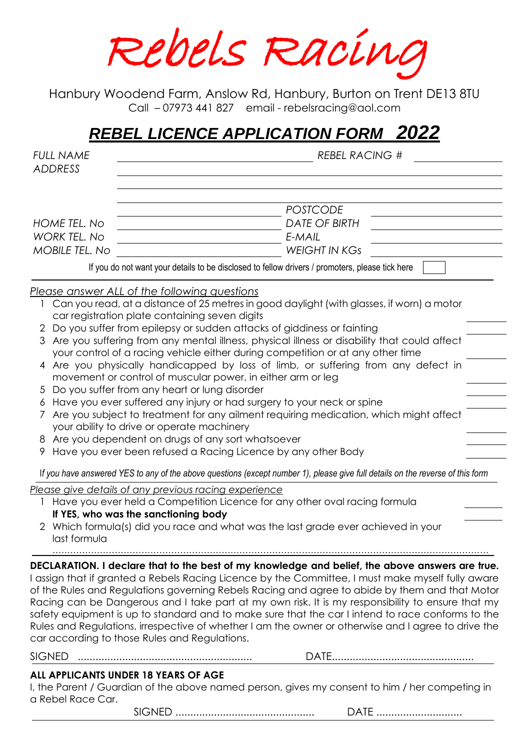Rebels Racing

Hanbury Woodend Farm, Anslow Rd, Hanbury, Burton on Trent DE13 8TU Call – 07973 441 827 email - rebelsracing@aol.com

# *REBEL LICENCE APPLICATION FORM 2022*

| <b>FULL NAME</b><br><b>ADDRESS</b>                           | <b>REBEL RACING #</b>                                                                                                                                                                                                                                                                                                                                                                                                                                                                                                                                                                                                                                                    |  |  |  |  |  |
|--------------------------------------------------------------|--------------------------------------------------------------------------------------------------------------------------------------------------------------------------------------------------------------------------------------------------------------------------------------------------------------------------------------------------------------------------------------------------------------------------------------------------------------------------------------------------------------------------------------------------------------------------------------------------------------------------------------------------------------------------|--|--|--|--|--|
| HOME TEL. No<br><b>WORK TEL, No</b><br><b>MOBILE TEL. No</b> | <b>POSTCODE</b><br><b>DATE OF BIRTH</b><br>E-MAIL<br><b>WEIGHT IN KGS</b><br>If you do not want your details to be disclosed to fellow drivers / promoters, please tick here                                                                                                                                                                                                                                                                                                                                                                                                                                                                                             |  |  |  |  |  |
|                                                              | <u>Please answer ALL of the following questions</u>                                                                                                                                                                                                                                                                                                                                                                                                                                                                                                                                                                                                                      |  |  |  |  |  |
|                                                              | Can you read, at a distance of 25 metres in good daylight (with glasses, if worn) a motor<br>car registration plate containing seven digits                                                                                                                                                                                                                                                                                                                                                                                                                                                                                                                              |  |  |  |  |  |
| 3                                                            | 2 Do you suffer from epilepsy or sudden attacks of giddiness or fainting<br>Are you suffering from any mental illness, physical illness or disability that could affect<br>your control of a racing vehicle either during competition or at any other time                                                                                                                                                                                                                                                                                                                                                                                                               |  |  |  |  |  |
|                                                              | 4 Are you physically handicapped by loss of limb, or suffering from any defect in<br>movement or control of muscular power, in either arm or leg                                                                                                                                                                                                                                                                                                                                                                                                                                                                                                                         |  |  |  |  |  |
|                                                              | 5 Do you suffer from any heart or lung disorder<br>6 Have you ever suffered any injury or had surgery to your neck or spine                                                                                                                                                                                                                                                                                                                                                                                                                                                                                                                                              |  |  |  |  |  |
|                                                              | Are you subject to treatment for any ailment requiring medication, which might affect<br>your ability to drive or operate machinery                                                                                                                                                                                                                                                                                                                                                                                                                                                                                                                                      |  |  |  |  |  |
|                                                              | 8 Are you dependent on drugs of any sort whatsoever<br>Have you ever been refused a Racing Licence by any other Body                                                                                                                                                                                                                                                                                                                                                                                                                                                                                                                                                     |  |  |  |  |  |
|                                                              | If you have answered YES to any of the above questions (except number 1), please give full details on the reverse of this form                                                                                                                                                                                                                                                                                                                                                                                                                                                                                                                                           |  |  |  |  |  |
|                                                              | Please give details of any previous racing experience<br>Have you ever held a Competition Licence for any other oval racing formula                                                                                                                                                                                                                                                                                                                                                                                                                                                                                                                                      |  |  |  |  |  |
| last formula                                                 | If YES, who was the sanctioning body<br>2 Which formula(s) did you race and what was the last grade ever achieved in your                                                                                                                                                                                                                                                                                                                                                                                                                                                                                                                                                |  |  |  |  |  |
|                                                              |                                                                                                                                                                                                                                                                                                                                                                                                                                                                                                                                                                                                                                                                          |  |  |  |  |  |
|                                                              | DECLARATION. I declare that to the best of my knowledge and belief, the above answers are true.<br>I assign that if granted a Rebels Racing Licence by the Committee, I must make myself fully aware<br>of the Rules and Regulations governing Rebels Racing and agree to abide by them and that Motor<br>Racing can be Dangerous and I take part at my own risk. It is my responsibility to ensure that my<br>safety equipment is up to standard and to make sure that the car I intend to race conforms to the<br>Rules and Regulations, irrespective of whether I am the owner or otherwise and I agree to drive the<br>car according to those Rules and Regulations. |  |  |  |  |  |
| <b>SIGNED</b>                                                |                                                                                                                                                                                                                                                                                                                                                                                                                                                                                                                                                                                                                                                                          |  |  |  |  |  |
| a Rebel Race Car.                                            | ALL APPLICANTS UNDER 18 YEARS OF AGE<br>I, the Parent / Guardian of the above named person, gives my consent to him / her competing in                                                                                                                                                                                                                                                                                                                                                                                                                                                                                                                                   |  |  |  |  |  |
|                                                              | DATE                                                                                                                                                                                                                                                                                                                                                                                                                                                                                                                                                                                                                                                                     |  |  |  |  |  |